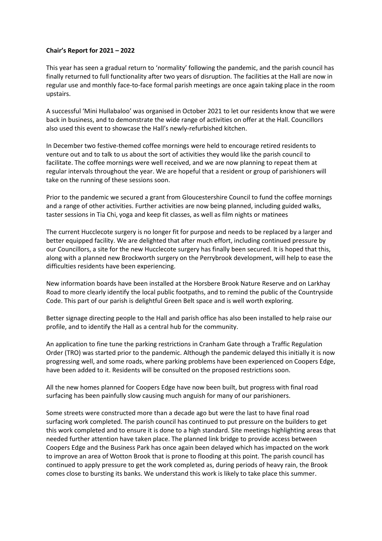## **Chair's Report for 2021 – 2022**

This year has seen a gradual return to 'normality' following the pandemic, and the parish council has finally returned to full functionality after two years of disruption. The facilities at the Hall are now in regular use and monthly face-to-face formal parish meetings are once again taking place in the room upstairs.

A successful 'Mini Hullabaloo' was organised in October 2021 to let our residents know that we were back in business, and to demonstrate the wide range of activities on offer at the Hall. Councillors also used this event to showcase the Hall's newly-refurbished kitchen.

In December two festive-themed coffee mornings were held to encourage retired residents to venture out and to talk to us about the sort of activities they would like the parish council to facilitate. The coffee mornings were well received, and we are now planning to repeat them at regular intervals throughout the year. We are hopeful that a resident or group of parishioners will take on the running of these sessions soon.

Prior to the pandemic we secured a grant from Gloucestershire Council to fund the coffee mornings and a range of other activities. Further activities are now being planned, including guided walks, taster sessions in Tia Chi, yoga and keep fit classes, as well as film nights or matinees

The current Hucclecote surgery is no longer fit for purpose and needs to be replaced by a larger and better equipped facility. We are delighted that after much effort, including continued pressure by our Councillors, a site for the new Hucclecote surgery has finally been secured. It is hoped that this, along with a planned new Brockworth surgery on the Perrybrook development, will help to ease the difficulties residents have been experiencing.

New information boards have been installed at the Horsbere Brook Nature Reserve and on Larkhay Road to more clearly identify the local public footpaths, and to remind the public of the Countryside Code. This part of our parish is delightful Green Belt space and is well worth exploring.

Better signage directing people to the Hall and parish office has also been installed to help raise our profile, and to identify the Hall as a central hub for the community.

An application to fine tune the parking restrictions in Cranham Gate through a Traffic Regulation Order (TRO) was started prior to the pandemic. Although the pandemic delayed this initially it is now progressing well, and some roads, where parking problems have been experienced on Coopers Edge, have been added to it. Residents will be consulted on the proposed restrictions soon.

All the new homes planned for Coopers Edge have now been built, but progress with final road surfacing has been painfully slow causing much anguish for many of our parishioners.

Some streets were constructed more than a decade ago but were the last to have final road surfacing work completed. The parish council has continued to put pressure on the builders to get this work completed and to ensure it is done to a high standard. Site meetings highlighting areas that needed further attention have taken place. The planned link bridge to provide access between Coopers Edge and the Business Park has once again been delayed which has impacted on the work to improve an area of Wotton Brook that is prone to flooding at this point. The parish council has continued to apply pressure to get the work completed as, during periods of heavy rain, the Brook comes close to bursting its banks. We understand this work is likely to take place this summer.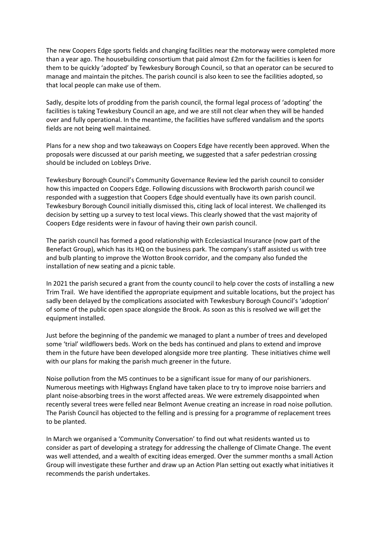The new Coopers Edge sports fields and changing facilities near the motorway were completed more than a year ago. The housebuilding consortium that paid almost £2m for the facilities is keen for them to be quickly 'adopted' by Tewkesbury Borough Council, so that an operator can be secured to manage and maintain the pitches. The parish council is also keen to see the facilities adopted, so that local people can make use of them.

Sadly, despite lots of prodding from the parish council, the formal legal process of 'adopting' the facilities is taking Tewkesbury Council an age, and we are still not clear when they will be handed over and fully operational. In the meantime, the facilities have suffered vandalism and the sports fields are not being well maintained.

Plans for a new shop and two takeaways on Coopers Edge have recently been approved. When the proposals were discussed at our parish meeting, we suggested that a safer pedestrian crossing should be included on Lobleys Drive.

Tewkesbury Borough Council's Community Governance Review led the parish council to consider how this impacted on Coopers Edge. Following discussions with Brockworth parish council we responded with a suggestion that Coopers Edge should eventually have its own parish council. Tewkesbury Borough Council initially dismissed this, citing lack of local interest. We challenged its decision by setting up a survey to test local views. This clearly showed that the vast majority of Coopers Edge residents were in favour of having their own parish council.

The parish council has formed a good relationship with Ecclesiastical Insurance (now part of the Benefact Group), which has its HQ on the business park. The company's staff assisted us with tree and bulb planting to improve the Wotton Brook corridor, and the company also funded the installation of new seating and a picnic table.

In 2021 the parish secured a grant from the county council to help cover the costs of installing a new Trim Trail. We have identified the appropriate equipment and suitable locations, but the project has sadly been delayed by the complications associated with Tewkesbury Borough Council's 'adoption' of some of the public open space alongside the Brook. As soon as this is resolved we will get the equipment installed.

Just before the beginning of the pandemic we managed to plant a number of trees and developed some 'trial' wildflowers beds. Work on the beds has continued and plans to extend and improve them in the future have been developed alongside more tree planting. These initiatives chime well with our plans for making the parish much greener in the future.

Noise pollution from the M5 continues to be a significant issue for many of our parishioners. Numerous meetings with Highways England have taken place to try to improve noise barriers and plant noise-absorbing trees in the worst affected areas. We were extremely disappointed when recently several trees were felled near Belmont Avenue creating an increase in road noise pollution. The Parish Council has objected to the felling and is pressing for a programme of replacement trees to be planted.

In March we organised a 'Community Conversation' to find out what residents wanted us to consider as part of developing a strategy for addressing the challenge of Climate Change. The event was well attended, and a wealth of exciting ideas emerged. Over the summer months a small Action Group will investigate these further and draw up an Action Plan setting out exactly what initiatives it recommends the parish undertakes.